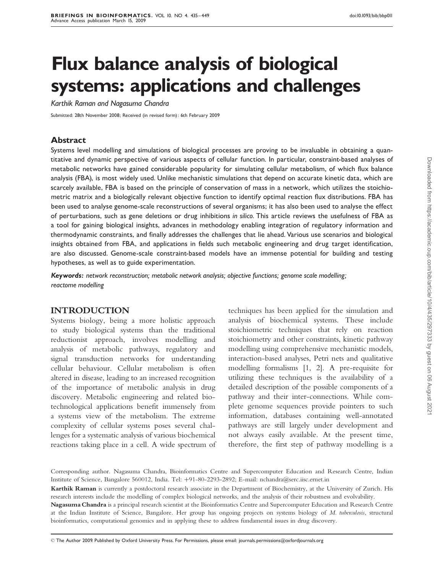# Flux balance analysis of biological systems: applications and challenges

Karthik Raman and Nagasuma Chandra

Submitted: 28th November 2008; Received (in revised form): 6th February 2009

## Abstract

Systems level modelling and simulations of biological processes are proving to be invaluable in obtaining a quantitative and dynamic perspective of various aspects of cellular function. In particular, constraint-based analyses of metabolic networks have gained considerable popularity for simulating cellular metabolism, of which flux balance analysis (FBA), is most widely used. Unlike mechanistic simulations that depend on accurate kinetic data, which are scarcely available, FBA is based on the principle of conservation of mass in a network, which utilizes the stoichiometric matrix and a biologically relevant objective function to identify optimal reaction flux distributions. FBA has been used to analyse genome-scale reconstructions of several organisms; it has also been used to analyse the effect of perturbations, such as gene deletions or drug inhibitions in silico. This article reviews the usefulness of FBA as a tool for gaining biological insights, advances in methodology enabling integration of regulatory information and thermodynamic constraints, and finally addresses the challenges that lie ahead. Various use scenarios and biological insights obtained from FBA, and applications in fields such metabolic engineering and drug target identification, are also discussed. Genome-scale constraint-based models have an immense potential for building and testing hypotheses, as well as to guide experimentation.

Keywords: network reconstruction; metabolic network analysis; objective functions; genome scale modelling; reactome modelling

#### INTRODUCTION

Systems biology, being a more holistic approach to study biological systems than the traditional reductionist approach, involves modelling and analysis of metabolic pathways, regulatory and signal transduction networks for understanding cellular behaviour. Cellular metabolism is often altered in disease, leading to an increased recognition of the importance of metabolic analysis in drug discovery. Metabolic engineering and related biotechnological applications benefit immensely from a systems view of the metabolism. The extreme complexity of cellular systems poses several challenges for a systematic analysis of various biochemical reactions taking place in a cell. A wide spectrum of techniques has been applied for the simulation and analysis of biochemical systems. These include stoichiometric techniques that rely on reaction stoichiometry and other constraints, kinetic pathway modelling using comprehensive mechanistic models, interaction-based analyses, Petri nets and qualitative modelling formalisms [1, 2]. A pre-requisite for utilizing these techniques is the availability of a detailed description of the possible components of a pathway and their inter-connections. While complete genome sequences provide pointers to such information, databases containing well-annotated pathways are still largely under development and not always easily available. At the present time, therefore, the first step of pathway modelling is a

Corresponding author. Nagasuma Chandra, Bioinformatics Centre and Supercomputer Education and Research Centre, Indian Institute of Science, Bangalore 560012, India. Tel: þ91-80-2293-2892; E-mail: nchandra@serc.iisc.ernet.in

Karthik Raman is currently a postdoctoral research associate in the Department of Biochemistry, at the University of Zurich. His research interests include the modelling of complex biological networks, and the analysis of their robustness and evolvability.

Nagasuma Chandra is a principal research scientist at the Bioinformatics Centre and Supercomputer Education and Research Centre at the Indian Institute of Science, Bangalore. Her group has ongoing projects on systems biology of M. tuberculosis, structural bioinformatics, computational genomics and in applying these to address fundamental issues in drug discovery.

The Author 2009. Published by Oxford University Press. For Permissions, please email: journals.permissions@oxfordjournals.org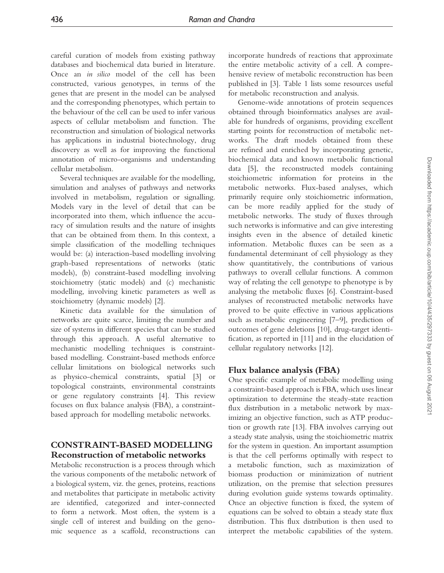careful curation of models from existing pathway databases and biochemical data buried in literature. Once an in silico model of the cell has been constructed, various genotypes, in terms of the genes that are present in the model can be analysed and the corresponding phenotypes, which pertain to the behaviour of the cell can be used to infer various aspects of cellular metabolism and function. The reconstruction and simulation of biological networks has applications in industrial biotechnology, drug discovery as well as for improving the functional annotation of micro-organisms and understanding cellular metabolism.

Several techniques are available for the modelling, simulation and analyses of pathways and networks involved in metabolism, regulation or signalling. Models vary in the level of detail that can be incorporated into them, which influence the accuracy of simulation results and the nature of insights that can be obtained from them. In this context, a simple classification of the modelling techniques would be: (a) interaction-based modelling involving graph-based representations of networks (static models), (b) constraint-based modelling involving stoichiometry (static models) and (c) mechanistic modelling, involving kinetic parameters as well as stoichiometry (dynamic models) [2].

Kinetic data available for the simulation of networks are quite scarce, limiting the number and size of systems in different species that can be studied through this approach. A useful alternative to mechanistic modelling techniques is constraintbased modelling. Constraint-based methods enforce cellular limitations on biological networks such as physico-chemical constraints, spatial [3] or topological constraints, environmental constraints or gene regulatory constraints [4]. This review focuses on flux balance analysis (FBA), a constraintbased approach for modelling metabolic networks.

## CONSTRAINT-BASED MODELLING Reconstruction of metabolic networks

Metabolic reconstruction is a process through which the various components of the metabolic network of a biological system, viz. the genes, proteins, reactions and metabolites that participate in metabolic activity are identified, categorized and inter-connected to form a network. Most often, the system is a single cell of interest and building on the genomic sequence as a scaffold, reconstructions can

incorporate hundreds of reactions that approximate the entire metabolic activity of a cell. A comprehensive review of metabolic reconstruction has been published in [3]. Table 1 lists some resources useful for metabolic reconstruction and analysis.

Genome-wide annotations of protein sequences obtained through bioinformatics analyses are available for hundreds of organisms, providing excellent starting points for reconstruction of metabolic networks. The draft models obtained from these are refined and enriched by incorporating genetic, biochemical data and known metabolic functional data [5], the reconstructed models containing stoichiometric information for proteins in the metabolic networks. Flux-based analyses, which primarily require only stoichiometric information, can be more readily applied for the study of metabolic networks. The study of fluxes through such networks is informative and can give interesting insights even in the absence of detailed kinetic information. Metabolic fluxes can be seen as a fundamental determinant of cell physiology as they show quantitatively, the contributions of various pathways to overall cellular functions. A common way of relating the cell genotype to phenotype is by analysing the metabolic fluxes [6]. Constraint-based analyses of reconstructed metabolic networks have proved to be quite effective in various applications such as metabolic engineering [7–9], prediction of outcomes of gene deletions [10], drug-target identification, as reported in [11] and in the elucidation of cellular regulatory networks [12].

## Flux balance analysis (FBA)

One specific example of metabolic modelling using a constraint-based approach is FBA, which uses linear optimization to determine the steady-state reaction flux distribution in a metabolic network by maximizing an objective function, such as ATP production or growth rate [13]. FBA involves carrying out a steady state analysis, using the stoichiometric matrix for the system in question. An important assumption is that the cell performs optimally with respect to a metabolic function, such as maximization of biomass production or minimization of nutrient utilization, on the premise that selection pressures during evolution guide systems towards optimality. Once an objective function is fixed, the system of equations can be solved to obtain a steady state flux distribution. This flux distribution is then used to interpret the metabolic capabilities of the system.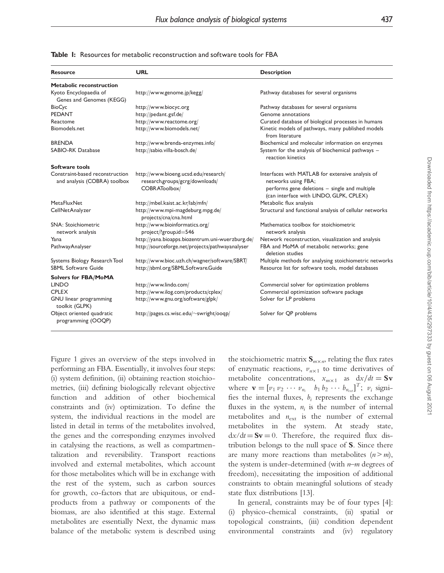| <b>Resource</b>                                                 | <b>URL</b>                                                                               | <b>Description</b>                                                                                                                                                  |  |  |
|-----------------------------------------------------------------|------------------------------------------------------------------------------------------|---------------------------------------------------------------------------------------------------------------------------------------------------------------------|--|--|
| <b>Metabolic reconstruction</b>                                 |                                                                                          |                                                                                                                                                                     |  |  |
| Kyoto Encyclopaedia of<br>Genes and Genomes (KEGG)              | http://www.genome.jp/kegg/                                                               | Pathway databases for several organisms                                                                                                                             |  |  |
| <b>BioCyc</b>                                                   | http://www.biocyc.org                                                                    | Pathway databases for several organisms                                                                                                                             |  |  |
| PEDANT                                                          | http://pedant.gsf.de/                                                                    | Genome annotations                                                                                                                                                  |  |  |
| Reactome                                                        | http://www.reactome.org/                                                                 | Curated database of biological processes in humans                                                                                                                  |  |  |
| Biomodels.net                                                   | http://www.biomodels.net/                                                                | Kinetic models of pathways, many published models<br>from literature                                                                                                |  |  |
| <b>BRENDA</b>                                                   | http://www.brenda-enzymes.info/                                                          | Biochemical and molecular information on enzymes                                                                                                                    |  |  |
| SABIO-RK Database                                               | http://sabio.villa-bosch.de/                                                             | System for the analysis of biochemical pathways -<br>reaction kinetics                                                                                              |  |  |
| Software tools                                                  |                                                                                          |                                                                                                                                                                     |  |  |
| Constraint-based reconstruction<br>and analysis (COBRA) toolbox | http://www.bioeng.ucsd.edu/research/<br>research.groups/gcrg/downloads/<br>COBRAToolbox/ | Interfaces with MATLAB for extensive analysis of<br>networks using FBA;<br>performs gene deletions - single and multiple<br>(can interface with LINDO, GLPK, CPLEX) |  |  |
| <b>MetaFluxNet</b>                                              | http://mbel.kaist.ac.kr/lab/mfn/                                                         | Metabolic flux analysis                                                                                                                                             |  |  |
| <b>CellNetAnalyzer</b>                                          | http://www.mpi-magdeburg.mpg.de/<br>projects/cna/cna.html                                | Structural and functional analysis of cellular networks                                                                                                             |  |  |
| SNA: Stoichiometric                                             | http://www.bioinformatics.org/                                                           | Mathematica toolbox for stoichiometric                                                                                                                              |  |  |
| network analysis                                                | project/?group.id=546                                                                    | network analysis                                                                                                                                                    |  |  |
| Yana                                                            | http://yana.bioapps.biozentrum.uni-wuerzburg.de/                                         | Network reconstruction, visualization and analysis                                                                                                                  |  |  |
| Pathway Analyser                                                | http://sourceforge.net/projects/pathwayanalyser                                          | FBA and MoMA of metabolic networks; gene<br>deletion studies                                                                                                        |  |  |
| Systems Biology Research Tool                                   | http://www.bioc.uzh.ch/wagner/software/SBRT/                                             | Multiple methods for analysing stoichiometric networks                                                                                                              |  |  |
| SBML Software Guide                                             | http://sbml.org/SBMLSoftware.Guide                                                       | Resource list for software tools, model databases                                                                                                                   |  |  |
| <b>Solvers for FBA/MoMA</b>                                     |                                                                                          |                                                                                                                                                                     |  |  |
| <b>LINDO</b>                                                    | http://www.lindo.com/                                                                    | Commercial solver for optimization problems                                                                                                                         |  |  |
| CPI FX                                                          | http://www.ilog.com/products/cplex/                                                      | Commercial optimization software package                                                                                                                            |  |  |
| GNU linear programming<br>toolkit (GLPK)                        | http://www.gnu.org/software/glpk/                                                        | Solver for LP problems                                                                                                                                              |  |  |
| Object oriented quadratic<br>programming (OOQP)                 | http://pages.cs.wisc.edu/~swright/ooqp/                                                  | Solver for QP problems                                                                                                                                              |  |  |

Table 1: Resources for metabolic reconstruction and software tools for FBA

Figure 1 gives an overview of the steps involved in performing an FBA. Essentially, it involves four steps: (i) system definition, (ii) obtaining reaction stoichiometries, (iii) defining biologically relevant objective function and addition of other biochemical constraints and (iv) optimization. To define the system, the individual reactions in the model are listed in detail in terms of the metabolites involved, the genes and the corresponding enzymes involved in catalysing the reactions, as well as compartmentalization and reversibility. Transport reactions involved and external metabolites, which account for those metabolites which will be in exchange with the rest of the system, such as carbon sources for growth, co-factors that are ubiquitous, or endproducts from a pathway or components of the biomass, are also identified at this stage. External metabolites are essentially Next, the dynamic mass balance of the metabolic system is described using

the stoichiometric matrix  $S_{m \times n}$ , relating the flux rates of enzymatic reactions,  $v_{n\times1}$  to time derivatives of metabolite concentrations,  $x_{m\times 1}$  as  $dx/dt = Sv$ where  $\mathbf{v} = [v_1 v_2 \cdots v_{n_i} b_1 b_2 \cdots b_{n_{ext}}]^T$ ;  $v_i$  signifies the internal fluxes,  $b_i$  represents the exchange fluxes in the system,  $n_i$  is the number of internal metabolites and  $n_{\text{ext}}$  is the number of external metabolites in the system. At steady state,  $dx/dt = Sv = 0$ . Therefore, the required flux distribution belongs to the null space of S. Since there are many more reactions than metabolites  $(n > m)$ , the system is under-determined (with  $n-m$  degrees of freedom), necessitating the imposition of additional constraints to obtain meaningful solutions of steady state flux distributions [13].

In general, constraints may be of four types [4]: (i) physico-chemical constraints, (ii) spatial or topological constraints, (iii) condition dependent environmental constraints and (iv) regulatory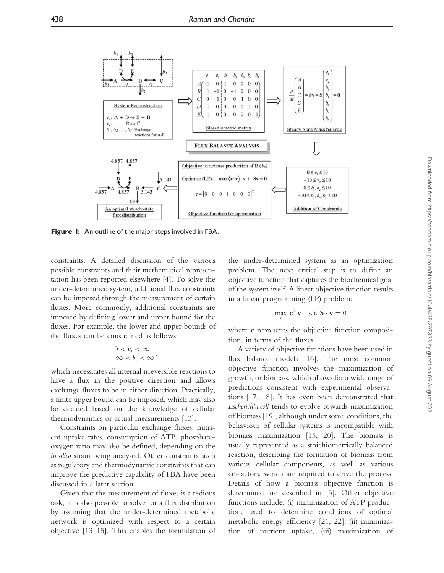

Figure 1: An outline of the major steps involved in FBA.

constraints. A detailed discussion of the various possible constraints and their mathematical representation has been reported elsewhere [4]. To solve the under-determined system, additional flux constraints can be imposed through the measurement of certain fluxes. More commonly, additional constraints are imposed by defining lower and upper bound for the fluxes. For example, the lower and upper bounds of the fluxes can be constrained as follows:

$$
0 < v_i < \infty
$$
\n
$$
-\infty < b_i < \infty
$$

which necessitates all internal irreversible reactions to have a flux in the positive direction and allows exchange fluxes to be in either direction. Practically, a finite upper bound can be imposed, which may also be decided based on the knowledge of cellular thermodynamics or actual measurements [13].

Constraints on particular exchange fluxes, nutrient uptake rates, consumption of ATP, phosphateoxygen ratio may also be defined, depending on the in silico strain being analysed. Other constraints such as regulatory and thermodynamic constraints that can improve the predictive capability of FBA have been discussed in a later section.

Given that the measurement of fluxes is a tedious task, it is also possible to solve for a flux distribution by assuming that the under-determined metabolic network is optimized with respect to a certain objective [13–15]. This enables the formulation of

the under-determined system as an optimization problem. The next critical step is to define an objective function that captures the biochemical goal of the system itself. A linear objective function results in a linear programming (LP) problem:

$$
\max_{\mathbf{v}} \mathbf{c}^T \mathbf{v} \quad \text{s.t.} \ \mathbf{S} \cdot \mathbf{v} = 0
$$

where **c** represents the objective function composition, in terms of the fluxes.

A variety of objective functions have been used in flux balance models [16]. The most common objective function involves the maximization of growth, or biomass, which allows for a wide range of predictions consistent with experimental observations [17, 18]. It has even been demonstrated that Escherichia coli tends to evolve towards maximization of biomass [19], although under some conditions, the behaviour of cellular systems is incompatible with biomass maximization [15, 20]. The biomass is usually represented as a stoichiometrically balanced reaction, describing the formation of biomass from various cellular components, as well as various co-factors, which are required to drive the process. Details of how a biomass objective function is determined are described in [5]. Other objective functions include: (i) minimization of ATP production, used to determine conditions of optimal metabolic energy efficiency [21, 22], (ii) minimization of nutrient uptake, (iii) maximization of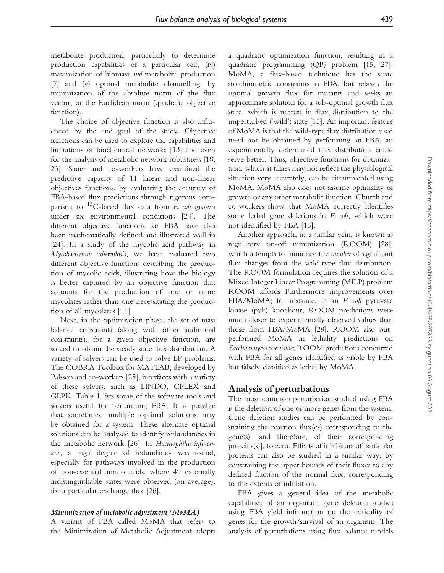metabolite production, particularly to determine production capabilities of a particular cell, (iv) maximization of biomass and metabolite production [7] and (v) optimal metabolite channelling, by minimization of the absolute norm of the flux vector, or the Euclidean norm (quadratic objective function).

The choice of objective function is also influenced by the end goal of the study. Objective functions can be used to explore the capabilities and limitations of biochemical networks [13] and even for the analysis of metabolic network robustness [18, 23]. Sauer and co-workers have examined the predictive capacity of 11 linear and non-linear objectives functions, by evaluating the accuracy of FBA-based flux predictions through rigorous comparison to  $^{13}$ C-based flux data from E. coli grown under six environmental conditions [24]. The different objective functions for FBA have also been mathematically defined and illustrated well in [24]. In a study of the mycolic acid pathway in Mycobacterium tuberculosis, we have evaluated two different objective functions describing the production of mycolic acids, illustrating how the biology is better captured by an objective function that accounts for the production of one or more mycolates rather than one necessitating the production of all mycolates [11].

Next, in the optimization phase, the set of mass balance constraints (along with other additional constraints), for a given objective function, are solved to obtain the steady state flux distribution. A variety of solvers can be used to solve LP problems. The COBRA Toolbox for MATLAB, developed by Palsson and co-workers [25], interfaces with a variety of these solvers, such as LINDO, CPLEX and GLPK. Table 1 lists some of the software tools and solvers useful for performing FBA. It is possible that sometimes, multiple optimal solutions may be obtained for a system. These alternate optimal solutions can be analysed to identify redundancies in the metabolic network [26]. In Haemophilus influenzae, a high degree of redundancy was found, especially for pathways involved in the production of non-essential amino acids, where 49 externally indistinguishable states were observed (on average), for a particular exchange flux [26].

#### Minimization of metabolic adjustment (MoMA)

A variant of FBA called MoMA that refers to the Minimization of Metabolic Adjustment adopts a quadratic optimization function, resulting in a quadratic programming (QP) problem [15, 27]. MoMA, a flux-based technique has the same stoichiometric constraints as FBA, but relaxes the optimal growth flux for mutants and seeks an approximate solution for a sub-optimal growth flux state, which is nearest in flux distribution to the unperturbed ('wild') state [15]. An important feature of MoMA is that the wild-type flux distribution used need not be obtained by performing an FBA; an experimentally determined flux distribution could serve better. Thus, objective functions for optimization, which at times may not reflect the physiological situation very accurately, can be circumvented using MoMA. MoMA also does not assume optimality of growth or any other metabolic function. Church and co-workers show that MoMA correctly identifies some lethal gene deletions in E. coli, which were not identified by FBA [15].

Another approach, in a similar vein, is known as regulatory on-off minimization (ROOM) [28], which attempts to minimize the *number* of significant flux changes from the wild-type flux distribution. The ROOM formulation requires the solution of a Mixed Integer Linear Programming (MILP) problem ROOM affords Furthermore improvements over FBA/MoMA; for instance, in an E. coli pyruvate kinase (pyk) knockout, ROOM predictions were much closer to experimentally observed values than those from FBA/MoMA [28]. ROOM also outperformed MoMA in lethality predictions on Saccharomyces cerevisiae; ROOM predictions concurred with FBA for all genes identified as viable by FBA but falsely classified as lethal by MoMA.

#### Analysis of perturbations

The most common perturbation studied using FBA is the deletion of one or more genes from the system. Gene deletion studies can be performed by constraining the reaction flux(es) corresponding to the gene(s) [and therefore, of their corresponding proteins(s)], to zero. Effects of inhibitors of particular proteins can also be studied in a similar way, by constraining the upper bounds of their fluxes to any defined fraction of the normal flux, corresponding to the extents of inhibition.

FBA gives a general idea of the metabolic capabilities of an organism; gene deletion studies using FBA yield information on the criticality of genes for the growth/survival of an organism. The analysis of perturbations using flux balance models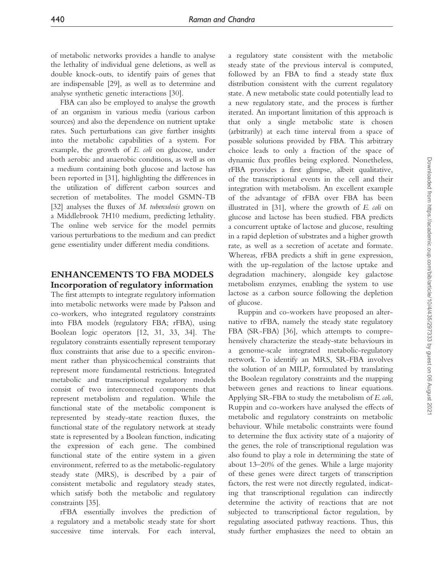of metabolic networks provides a handle to analyse the lethality of individual gene deletions, as well as double knock-outs, to identify pairs of genes that are indispensable [29], as well as to determine and analyse synthetic genetic interactions [30].

FBA can also be employed to analyse the growth of an organism in various media (various carbon sources) and also the dependence on nutrient uptake rates. Such perturbations can give further insights into the metabolic capabilities of a system. For example, the growth of E. coli on glucose, under both aerobic and anaerobic conditions, as well as on a medium containing both glucose and lactose has been reported in [31], highlighting the differences in the utilization of different carbon sources and secretion of metabolites. The model GSMN-TB [32] analyses the fluxes of M. tuberculosis grown on a Middlebrook 7H10 medium, predicting lethality. The online web service for the model permits various perturbations to the medium and can predict gene essentiality under different media conditions.

#### ENHANCEMENTS TO FBA MODELS Incorporation of regulatory information

The first attempts to integrate regulatory information into metabolic networks were made by Palsson and co-workers, who integrated regulatory constraints into FBA models (regulatory FBA; rFBA), using Boolean logic operators [12, 31, 33, 34]. The regulatory constraints essentially represent temporary flux constraints that arise due to a specific environment rather than physicochemical constraints that represent more fundamental restrictions. Integrated metabolic and transcriptional regulatory models consist of two interconnected components that represent metabolism and regulation. While the functional state of the metabolic component is represented by steady-state reaction fluxes, the functional state of the regulatory network at steady state is represented by a Boolean function, indicating the expression of each gene. The combined functional state of the entire system in a given environment, referred to as the metabolic-regulatory steady state (MRS), is described by a pair of consistent metabolic and regulatory steady states, which satisfy both the metabolic and regulatory constraints [35].

rFBA essentially involves the prediction of a regulatory and a metabolic steady state for short successive time intervals. For each interval,

a regulatory state consistent with the metabolic steady state of the previous interval is computed, followed by an FBA to find a steady state flux distribution consistent with the current regulatory state. A new metabolic state could potentially lead to a new regulatory state, and the process is further iterated. An important limitation of this approach is that only a single metabolic state is chosen (arbitrarily) at each time interval from a space of possible solutions provided by FBA. This arbitrary choice leads to only a fraction of the space of dynamic flux profiles being explored. Nonetheless, rFBA provides a first glimpse, albeit qualitative, of the transcriptional events in the cell and their integration with metabolism. An excellent example of the advantage of rFBA over FBA has been illustrated in [31], where the growth of E. coli on glucose and lactose has been studied. FBA predicts a concurrent uptake of lactose and glucose, resulting in a rapid depletion of substrates and a higher growth rate, as well as a secretion of acetate and formate. Whereas, rFBA predicts a shift in gene expression, with the up-regulation of the lactose uptake and degradation machinery, alongside key galactose metabolism enzymes, enabling the system to use lactose as a carbon source following the depletion of glucose.

Ruppin and co-workers have proposed an alternative to rFBA, namely the steady state regulatory FBA (SR-FBA) [36], which attempts to comprehensively characterize the steady-state behaviours in a genome-scale integrated metabolic-regulatory network. To identify an MRS, SR-FBA involves the solution of an MILP, formulated by translating the Boolean regulatory constraints and the mapping between genes and reactions to linear equations. Applying SR-FBA to study the metabolism of E. coli, Ruppin and co-workers have analysed the effects of metabolic and regulatory constraints on metabolic behaviour. While metabolic constraints were found to determine the flux activity state of a majority of the genes, the role of transcriptional regulation was also found to play a role in determining the state of about 13–20% of the genes. While a large majority of these genes were direct targets of transcription factors, the rest were not directly regulated, indicating that transcriptional regulation can indirectly determine the activity of reactions that are not subjected to transcriptional factor regulation, by regulating associated pathway reactions. Thus, this study further emphasizes the need to obtain an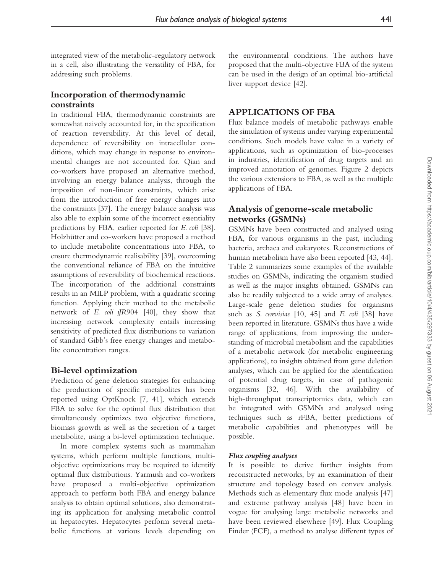integrated view of the metabolic-regulatory network in a cell, also illustrating the versatility of FBA, for addressing such problems.

# Incorporation of thermodynamic constraints

In traditional FBA, thermodynamic constraints are somewhat naively accounted for, in the specification of reaction reversibility. At this level of detail, dependence of reversibility on intracellular conditions, which may change in response to environmental changes are not accounted for. Qian and co-workers have proposed an alternative method, involving an energy balance analysis, through the imposition of non-linear constraints, which arise from the introduction of free energy changes into the constraints [37]. The energy balance analysis was also able to explain some of the incorrect essentiality predictions by FBA, earlier reported for E. coli [38]. Holzhütter and co-workers have proposed a method to include metabolite concentrations into FBA, to ensure thermodynamic realisability [39], overcoming the conventional reliance of FBA on the intuitive assumptions of reversibility of biochemical reactions. The incorporation of the additional constraints results in an MILP problem, with a quadratic scoring function. Applying their method to the metabolic network of E. coli iJR904 [40], they show that increasing network complexity entails increasing sensitivity of predicted flux distributions to variation of standard Gibb's free energy changes and metabolite concentration ranges.

# Bi-level optimization

Prediction of gene deletion strategies for enhancing the production of specific metabolites has been reported using OptKnock [7, 41], which extends FBA to solve for the optimal flux distribution that simultaneously optimizes two objective functions, biomass growth as well as the secretion of a target metabolite, using a bi-level optimization technique.

In more complex systems such as mammalian systems, which perform multiple functions, multiobjective optimizations may be required to identify optimal flux distributions. Yarmush and co-workers have proposed a multi-objective optimization approach to perform both FBA and energy balance analysis to obtain optimal solutions, also demonstrating its application for analysing metabolic control in hepatocytes. Hepatocytes perform several metabolic functions at various levels depending on

the environmental conditions. The authors have proposed that the multi-objective FBA of the system can be used in the design of an optimal bio-artificial liver support device [42].

# APPLICATIONS OF FBA

Flux balance models of metabolic pathways enable the simulation of systems under varying experimental conditions. Such models have value in a variety of applications, such as optimization of bio-processes in industries, identification of drug targets and an improved annotation of genomes. Figure 2 depicts the various extensions to FBA, as well as the multiple applications of FBA.

# Analysis of genome-scale metabolic networks (GSMNs)

GSMNs have been constructed and analysed using FBA, for various organisms in the past, including bacteria, archaea and eukaryotes. Reconstructions of human metabolism have also been reported [43, 44]. Table 2 summarizes some examples of the available studies on GSMNs, indicating the organism studied as well as the major insights obtained. GSMNs can also be readily subjected to a wide array of analyses. Large-scale gene deletion studies for organisms such as S. cerevisiae [10, 45] and E. coli [38] have been reported in literature. GSMNs thus have a wide range of applications, from improving the understanding of microbial metabolism and the capabilities of a metabolic network (for metabolic engineering applications), to insights obtained from gene deletion analyses, which can be applied for the identification of potential drug targets, in case of pathogenic organisms [32, 46]. With the availability of high-throughput transcriptomics data, which can be integrated with GSMNs and analysed using techniques such as rFBA, better predictions of metabolic capabilities and phenotypes will be possible.

## Flux coupling analyses

It is possible to derive further insights from reconstructed networks, by an examination of their structure and topology based on convex analysis. Methods such as elementary flux mode analysis [47] and extreme pathway analysis [48] have been in vogue for analysing large metabolic networks and have been reviewed elsewhere [49]. Flux Coupling Finder (FCF), a method to analyse different types of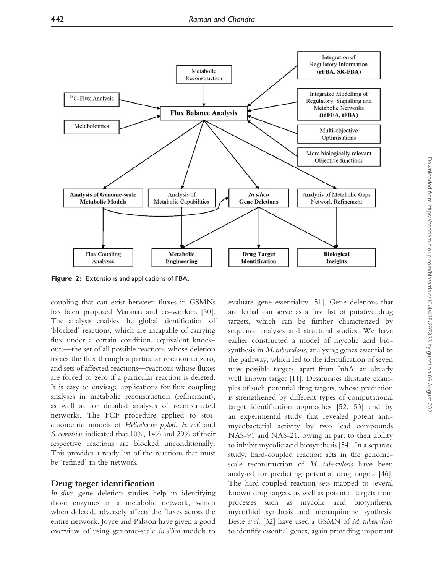

Figure 2: Extensions and applications of FBA.

coupling that can exist between fluxes in GSMNs has been proposed Maranas and co-workers [50]. The analysis enables the global identification of 'blocked' reactions, which are incapable of carrying flux under a certain condition, equivalent knockouts—the set of all possible reactions whose deletion forces the flux through a particular reaction to zero, and sets of affected reactions—reactions whose fluxes are forced to zero if a particular reaction is deleted. It is easy to envisage applications for flux coupling analyses in metabolic reconstruction (refinement), as well as for detailed analyses of reconstructed networks. The FCF procedure applied to stoichiometric models of Helicobacter pylori, E. coli and S. cerevisiae indicated that 10%, 14% and 29% of their respective reactions are blocked unconditionally. This provides a ready list of the reactions that must be 'refined' in the network.

## Drug target identification

In silico gene deletion studies help in identifying those enzymes in a metabolic network, which when deleted, adversely affects the fluxes across the entire network. Joyce and Palsson have given a good overview of using genome-scale in silico models to

evaluate gene essentiality [51]. Gene deletions that are lethal can serve as a first list of putative drug targets, which can be further characterized by sequence analyses and structural studies. We have earlier constructed a model of mycolic acid biosynthesis in *M. tuberculosis*, analysing genes essential to the pathway, which led to the identification of seven new possible targets, apart from InhA, an already well known target [11]. Desaturases illustrate examples of such potential drug targets, whose prediction is strengthened by different types of computational target identification approaches [52, 53] and by an experimental study that revealed potent antimycobacterial activity by two lead compounds NAS-91 and NAS-21, owing in part to their ability to inhibit mycolic acid biosynthesis [54]. In a separate study, hard-coupled reaction sets in the genomescale reconstruction of M. tuberculosis have been analysed for predicting potential drug targets [46]. The hard-coupled reaction sets mapped to several known drug targets, as well as potential targets from processes such as mycolic acid biosynthesis, mycothiol synthesis and menaquinone synthesis. Beste et al. [32] have used a GSMN of M. tuberculosis to identify essential genes, again providing important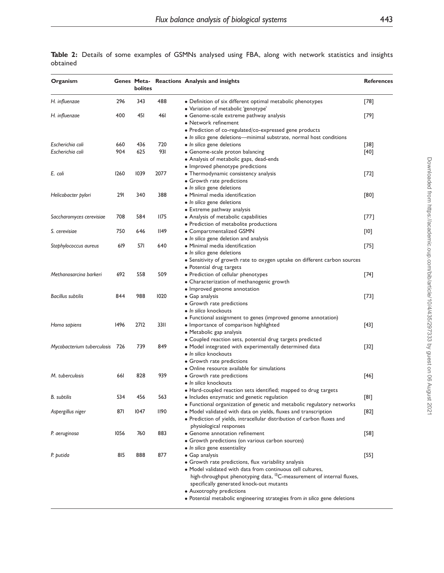| Organism                       |      | bolites    |             | Genes Meta- Reactions Analysis and insights                                                                    | <b>References</b> |
|--------------------------------|------|------------|-------------|----------------------------------------------------------------------------------------------------------------|-------------------|
| H. influenzae                  | 296  | 343        | 488         | • Definition of six different optimal metabolic phenotypes<br>· Variation of metabolic 'genotype'              | $[78]$            |
| H. influenzae                  | 400  | 45I        | 46I         | • Genome-scale extreme pathway analysis                                                                        | $[79]$            |
|                                |      |            |             | • Network refinement                                                                                           |                   |
|                                |      |            |             | • Prediction of co-regulated/co-expressed gene products                                                        |                   |
|                                |      |            |             | • In silico gene deletions—minimal substrate, normal host conditions                                           |                   |
| Escherichia coli               | 660  | 436        | 720         | • In silico gene deletions                                                                                     | $[38]$            |
| Escherichia coli               | 904  | 625        | 931         | • Genome-scale proton balancing                                                                                | $[40]$            |
|                                |      |            |             | • Analysis of metabolic gaps, dead-ends                                                                        |                   |
|                                |      |            |             | • Improved phenotype predictions                                                                               |                   |
| E. coli                        | 1260 | 1039       | 2077        | • Thermodynamic consistency analysis                                                                           | $[72]$            |
|                                |      |            |             | • Growth rate predictions                                                                                      |                   |
|                                |      |            |             | • In silico gene deletions                                                                                     |                   |
| Helicobacter pylori            | 291  | 340        | 388         | · Minimal media identification                                                                                 | [80]              |
|                                |      |            |             | • In silico gene deletions                                                                                     |                   |
|                                |      |            |             | • Extreme pathway analysis                                                                                     |                   |
| Saccharomyces cerevisiae       | 708  | 584        | <b>II75</b> | • Analysis of metabolic capabilities                                                                           | $[77]$            |
|                                |      |            |             | • Prediction of metabolite productions                                                                         |                   |
| S. cerevisiae                  | 750  | 646        | <b>II49</b> | • Compartmentalized GSMN                                                                                       | [10]              |
|                                |      |            |             | • In silico gene deletion and analysis                                                                         |                   |
| Staphylococcus aureus          | 619  | <b>571</b> | 640         | • Minimal media identification                                                                                 | $[75]$            |
|                                |      |            |             | • In silico gene deletions                                                                                     |                   |
|                                |      |            |             | • Sensitivity of growth rate to oxygen uptake on different carbon sources                                      |                   |
|                                |      |            |             | • Potential drug targets                                                                                       |                   |
| Methanosarcina barkeri         | 692  | 558        | 509         | • Prediction of cellular phenotypes                                                                            | $[74]$            |
|                                |      |            |             | • Characterization of methanogenic growth                                                                      |                   |
|                                |      |            |             | • Improved genome annotation                                                                                   |                   |
| <b>Bacillus subtilis</b>       | 844  | 988        | 1020        | • Gap analysis                                                                                                 | $[73]$            |
|                                |      |            |             | • Growth rate predictions                                                                                      |                   |
|                                |      |            |             | • In silico knockouts                                                                                          |                   |
|                                |      |            |             | • Functional assignment to genes (improved genome annotation)                                                  |                   |
| Homo sapiens                   | 1496 | 2712       | 3311        | • Importance of comparison highlighted                                                                         | $[43]$            |
|                                |      |            |             | • Metabolic gap analysis                                                                                       |                   |
|                                |      |            |             | · Coupled reaction sets, potential drug targets predicted                                                      |                   |
| Mycobacterium tuberculosis 726 |      | 739        | 849         | • Model integrated with experimentally determined data                                                         | $[32]$            |
|                                |      |            |             | · In silico knockouts                                                                                          |                   |
|                                |      |            |             | • Growth rate predictions                                                                                      |                   |
|                                | 66I  | 828        | 939         | • Online resource available for simulations                                                                    |                   |
| M. tuberculosis                |      |            |             | • Growth rate predictions<br>• In silico knockouts                                                             | [46]              |
|                                |      |            |             |                                                                                                                |                   |
| <b>B.</b> subtilis             | 534  | 456        | 563         | • Hard-coupled reaction sets identified; mapped to drug targets<br>• Includes enzymatic and genetic regulation | $[8]$             |
|                                |      |            |             | • Functional organization of genetic and metabolic regulatory networks                                         |                   |
| Aspergillus niger              | 871  | 1047       | 1190        | • Model validated with data on yields, fluxes and transcription                                                | $[82]$            |
|                                |      |            |             | · Prediction of yields, intracellular distribution of carbon fluxes and                                        |                   |
|                                |      |            |             | physiological responses                                                                                        |                   |
| P. aeruginosa                  | 1056 | 760        | 883         | • Genome annotation refinement                                                                                 | $[58]$            |
|                                |      |            |             | • Growth predictions (on various carbon sources)                                                               |                   |
|                                |      |            |             | • In silico gene essentiality                                                                                  |                   |
| P. putida                      | 815  | 888        | 877         | • Gap analysis                                                                                                 | $[55]$            |
|                                |      |            |             | • Growth rate predictions, flux variability analysis                                                           |                   |
|                                |      |            |             | • Model validated with data from continuous cell cultures.                                                     |                   |
|                                |      |            |             | high-throughput phenotyping data, <sup>13</sup> C-measurement of internal fluxes,                              |                   |
|                                |      |            |             | specifically generated knock-out mutants                                                                       |                   |
|                                |      |            |             | • Auxotrophy predictions                                                                                       |                   |
|                                |      |            |             | • Potential metabolic engineering strategies from in silico gene deletions                                     |                   |

Table 2: Details of some examples of GSMNs analysed using FBA, along with network statistics and insights obtained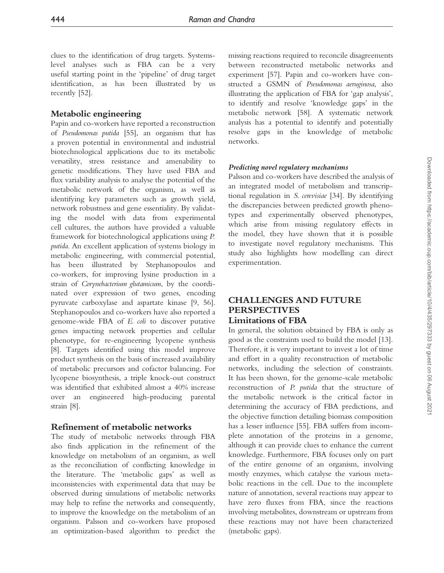clues to the identification of drug targets. Systemslevel analyses such as FBA can be a very useful starting point in the 'pipeline' of drug target identification, as has been illustrated by us recently [52].

## Metabolic engineering

Papin and co-workers have reported a reconstruction of Pseudomonas putida [55], an organism that has a proven potential in environmental and industrial biotechnological applications due to its metabolic versatility, stress resistance and amenability to genetic modifications. They have used FBA and flux variability analysis to analyse the potential of the metabolic network of the organism, as well as identifying key parameters such as growth yield, network robustness and gene essentiality. By validating the model with data from experimental cell cultures, the authors have provided a valuable framework for biotechnological applications using P. putida. An excellent application of systems biology in metabolic engineering, with commercial potential, has been illustrated by Stephanopoulos and co-workers, for improving lysine production in a strain of Corynebacterium glutamicum, by the coordinated over expression of two genes, encoding pyruvate carboxylase and aspartate kinase [9, 56]. Stephanopoulos and co-workers have also reported a genome-wide FBA of E. coli to discover putative genes impacting network properties and cellular phenotype, for re-engineering lycopene synthesis [8]. Targets identified using this model improve product synthesis on the basis of increased availability of metabolic precursors and cofactor balancing. For lycopene biosynthesis, a triple knock-out construct was identified that exhibited almost a 40% increase over an engineered high-producing parental strain [8].

#### Refinement of metabolic networks

The study of metabolic networks through FBA also finds application in the refinement of the knowledge on metabolism of an organism, as well as the reconciliation of conflicting knowledge in the literature. The 'metabolic gaps' as well as inconsistencies with experimental data that may be observed during simulations of metabolic networks may help to refine the networks and consequently, to improve the knowledge on the metabolism of an organism. Palsson and co-workers have proposed an optimization-based algorithm to predict the

missing reactions required to reconcile disagreements between reconstructed metabolic networks and experiment [57]. Papin and co-workers have constructed a GSMN of Pseudomonas aeruginosa, also illustrating the application of FBA for 'gap analysis', to identify and resolve 'knowledge gaps' in the metabolic network [58]. A systematic network analysis has a potential to identify and potentially resolve gaps in the knowledge of metabolic networks.

#### Predicting novel regulatory mechanisms

Palsson and co-workers have described the analysis of an integrated model of metabolism and transcriptional regulation in S. cerevisiae [34]. By identifying the discrepancies between predicted growth phenotypes and experimentally observed phenotypes, which arise from missing regulatory effects in the model, they have shown that it is possible to investigate novel regulatory mechanisms. This study also highlights how modelling can direct experimentation.

## CHALLENGES AND FUTURE PERSPECTIVES Limitations of FBA

In general, the solution obtained by FBA is only as good as the constraints used to build the model [13]. Therefore, it is very important to invest a lot of time and effort in a quality reconstruction of metabolic networks, including the selection of constraints. It has been shown, for the genome-scale metabolic reconstruction of P. putida that the structure of the metabolic network is the critical factor in determining the accuracy of FBA predictions, and the objective function detailing biomass composition has a lesser influence [55]. FBA suffers from incomplete annotation of the proteins in a genome, although it can provide clues to enhance the current knowledge. Furthermore, FBA focuses only on part of the entire genome of an organism, involving mostly enzymes, which catalyse the various metabolic reactions in the cell. Due to the incomplete nature of annotation, several reactions may appear to have zero fluxes from FBA, since the reactions involving metabolites, downstream or upstream from these reactions may not have been characterized (metabolic gaps).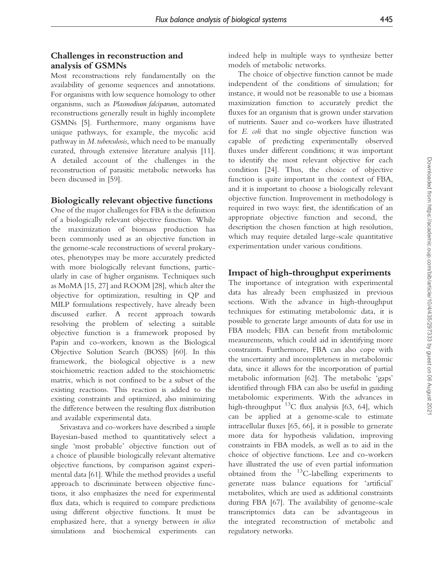## Challenges in reconstruction and analysis of GSMNs

Most reconstructions rely fundamentally on the availability of genome sequences and annotations. For organisms with low sequence homology to other organisms, such as Plasmodium falciparum, automated reconstructions generally result in highly incomplete GSMNs [5]. Furthermore, many organisms have unique pathways, for example, the mycolic acid pathway in M. tuberculosis, which need to be manually curated, through extensive literature analysis [11]. A detailed account of the challenges in the reconstruction of parasitic metabolic networks has been discussed in [59].

## Biologically relevant objective functions

One of the major challenges for FBA is the definition of a biologically relevant objective function. While the maximization of biomass production has been commonly used as an objective function in the genome-scale reconstructions of several prokaryotes, phenotypes may be more accurately predicted with more biologically relevant functions, particularly in case of higher organisms. Techniques such as MoMA [15, 27] and ROOM [28], which alter the objective for optimization, resulting in QP and MILP formulations respectively, have already been discussed earlier. A recent approach towards resolving the problem of selecting a suitable objective function is a framework proposed by Papin and co-workers, known as the Biological Objective Solution Search (BOSS) [60]. In this framework, the biological objective is a new stoichiometric reaction added to the stoichiometric matrix, which is not confined to be a subset of the existing reactions. This reaction is added to the existing constraints and optimized, also minimizing the difference between the resulting flux distribution and available experimental data.

Srivastava and co-workers have described a simple Bayesian-based method to quantitatively select a single 'most probable' objective function out of a choice of plausible biologically relevant alternative objective functions, by comparison against experimental data [61]. While the method provides a useful approach to discriminate between objective functions, it also emphasizes the need for experimental flux data, which is required to compare predictions using different objective functions. It must be emphasized here, that a synergy between in silico simulations and biochemical experiments can

indeed help in multiple ways to synthesize better models of metabolic networks.

The choice of objective function cannot be made independent of the conditions of simulation; for instance, it would not be reasonable to use a biomass maximization function to accurately predict the fluxes for an organism that is grown under starvation of nutrients. Sauer and co-workers have illustrated for E. coli that no single objective function was capable of predicting experimentally observed fluxes under different conditions; it was important to identify the most relevant objective for each condition [24]. Thus, the choice of objective function is quite important in the context of FBA, and it is important to choose a biologically relevant objective function. Improvement in methodology is required in two ways: first, the identification of an appropriate objective function and second, the description the chosen function at high resolution, which may require detailed large-scale quantitative experimentation under various conditions.

# Impact of high-throughput experiments

The importance of integration with experimental data has already been emphasized in previous sections. With the advance in high-throughput techniques for estimating metabolomic data, it is possible to generate large amounts of data for use in FBA models; FBA can benefit from metabolomic measurements, which could aid in identifying more constraints. Furthermore, FBA can also cope with the uncertainty and incompleteness in metabolomic data, since it allows for the incorporation of partial metabolic information [62]. The metabolic 'gaps' identified through FBA can also be useful in guiding metabolomic experiments. With the advances in high-throughput  $^{13}$ C flux analysis [63, 64], which can be applied at a genome-scale to estimate intracellular fluxes [65, 66], it is possible to generate more data for hypothesis validation, improving constraints in FBA models, as well as to aid in the choice of objective functions. Lee and co-workers have illustrated the use of even partial information obtained from the <sup>13</sup>C-labelling experiments to generate mass balance equations for 'artificial' metabolites, which are used as additional constraints during FBA [67]. The availability of genome-scale transcriptomics data can be advantageous in the integrated reconstruction of metabolic and regulatory networks.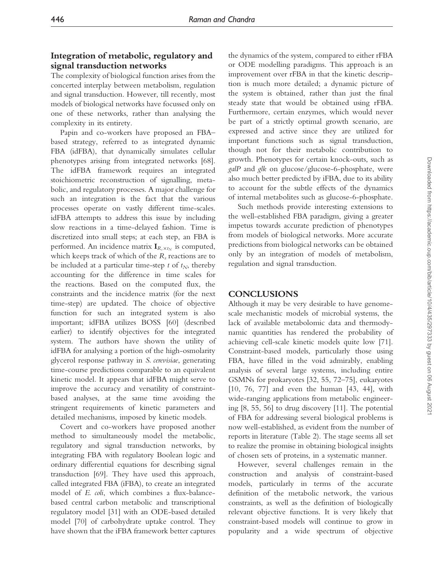## Integration of metabolic, regulatory and signal transduction networks

The complexity of biological function arises from the concerted interplay between metabolism, regulation and signal transduction. However, till recently, most models of biological networks have focussed only on one of these networks, rather than analysing the complexity in its entirety.

Papin and co-workers have proposed an FBA– based strategy, referred to as integrated dynamic FBA (idFBA), that dynamically simulates cellular phenotypes arising from integrated networks [68]. The idFBA framework requires an integrated stoichiometric reconstruction of signalling, metabolic, and regulatory processes. A major challenge for such an integration is the fact that the various processes operate on vastly different time-scales. idFBA attempts to address this issue by including slow reactions in a time-delayed fashion. Time is discretized into small steps; at each step, an FBA is performed. An incidence matrix  $\mathbf{I}_{R_s \times t_N}$  is computed, which keeps track of which of the  $R_s$  reactions are to be included at a particular time-step t of  $t_N$ , thereby accounting for the difference in time scales for the reactions. Based on the computed flux, the constraints and the incidence matrix (for the next time-step) are updated. The choice of objective function for such an integrated system is also important; idFBA utilizes BOSS [60] (described earlier) to identify objectives for the integrated system. The authors have shown the utility of idFBA for analysing a portion of the high-osmolarity glycerol response pathway in S. cerevisiae, generating time-course predictions comparable to an equivalent kinetic model. It appears that idFBA might serve to improve the accuracy and versatility of constraintbased analyses, at the same time avoiding the stringent requirements of kinetic parameters and detailed mechanisms, imposed by kinetic models.

Covert and co-workers have proposed another method to simultaneously model the metabolic, regulatory and signal transduction networks, by integrating FBA with regulatory Boolean logic and ordinary differential equations for describing signal transduction [69]. They have used this approach, called integrated FBA (iFBA), to create an integrated model of E. coli, which combines a flux-balancebased central carbon metabolic and transcriptional regulatory model [31] with an ODE-based detailed model [70] of carbohydrate uptake control. They have shown that the iFBA framework better captures

the dynamics of the system, compared to either rFBA or ODE modelling paradigms. This approach is an improvement over rFBA in that the kinetic description is much more detailed; a dynamic picture of the system is obtained, rather than just the final steady state that would be obtained using rFBA. Furthermore, certain enzymes, which would never be part of a strictly optimal growth scenario, are expressed and active since they are utilized for important functions such as signal transduction, though not for their metabolic contribution to growth. Phenotypes for certain knock-outs, such as galP and glk on glucose/glucose-6-phosphate, were also much better predicted by iFBA, due to its ability to account for the subtle effects of the dynamics of internal metabolites such as glucose-6-phosphate.

Such methods provide interesting extensions to the well-established FBA paradigm, giving a greater impetus towards accurate prediction of phenotypes from models of biological networks. More accurate predictions from biological networks can be obtained only by an integration of models of metabolism, regulation and signal transduction.

#### **CONCLUSIONS**

Although it may be very desirable to have genomescale mechanistic models of microbial systems, the lack of available metabolomic data and thermodynamic quantities has rendered the probability of achieving cell-scale kinetic models quite low [71]. Constraint-based models, particularly those using FBA, have filled in the void admirably, enabling analysis of several large systems, including entire GSMNs for prokaryotes [32, 55, 72–75], eukaryotes [10, 76, 77] and even the human [43, 44], with wide-ranging applications from metabolic engineering [8, 55, 56] to drug discovery [11]. The potential of FBA for addressing several biological problems is now well-established, as evident from the number of reports in literature (Table 2). The stage seems all set to realize the promise in obtaining biological insights of chosen sets of proteins, in a systematic manner.

However, several challenges remain in the construction and analysis of constraint-based models, particularly in terms of the accurate definition of the metabolic network, the various constraints, as well as the definition of biologically relevant objective functions. It is very likely that constraint-based models will continue to grow in popularity and a wide spectrum of objective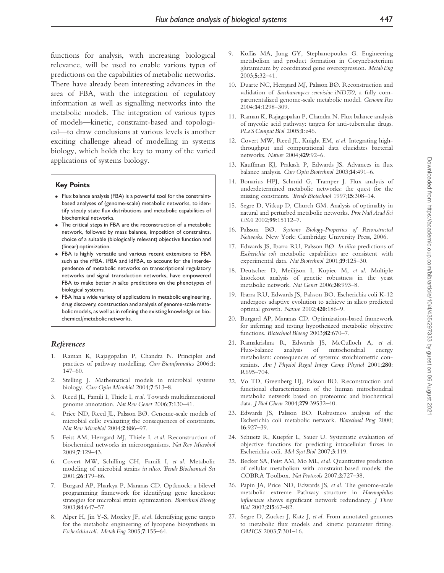functions for analysis, with increasing biological relevance, will be used to enable various types of predictions on the capabilities of metabolic networks. There have already been interesting advances in the area of FBA, with the integration of regulatory information as well as signalling networks into the metabolic models. The integration of various types of models—kinetic, constraint-based and topological—to draw conclusions at various levels is another exciting challenge ahead of modelling in systems biology, which holds the key to many of the varied applications of systems biology.

#### Key Points

- Flux balance analysis (FBA) is a powerful tool for the constraintbased analyses of (genome-scale) metabolic networks, to identify steady state flux distributions and metabolic capabilities of biochemical networks.
- The critical steps in FBA are the reconstruction of a metabolic network, followed by mass balance, imposition of constraints, choice of a suitable (biologically relevant) objective function and (linear) optimization.
- FBA is highly versatile and various recent extensions to FBA such as the rFBA, iFBA and idFBA, to account for the interdependence of metabolic networks on transcriptional regulatory networks and signal transduction networks, have empowered FBA to make better in silico predictions on the phenotypes of biological systems.
- FBA has a wide variety of applications in metabolic engineering, drug discovery, construction and analysis of genome-scale metabolic models, as well as in refining the existing knowledge on biochemical/metabolic networks.

#### References

- 1. Raman K, Rajagopalan P, Chandra N. Principles and practices of pathway modelling. Curr Bioinformatics 2006;1: 147–60.
- 2. Stelling J. Mathematical models in microbial systems biology. Curr Opin Microbiol 2004;7:513–8.
- 3. Reed JL, Famili I, Thiele I, et al. Towards multidimensional genome annotation. Nat Rev Genet 2006;7:130–41.
- 4. Price ND, Reed JL, Palsson BØ. Genome-scale models of microbial cells: evaluating the consequences of constraints. Nat Rev Microbiol 2004;2:886–97.
- 5. Feist AM, Herrgard MJ, Thiele I, et al. Reconstruction of biochemical networks in microorganisms. Nat Rev Microbiol 2009;7:129–43.
- Covert MW, Schilling CH, Famili I, et al. Metabolic modeling of microbial strains in silico. Trends Biochemical Sci 2001;26:179–86.
- 7. Burgard AP, Pharkya P, Maranas CD. Optknock: a bilevel programming framework for identifying gene knockout strategies for microbial strain optimization. Biotechnol Bioeng 2003;84:647–57.
- 8. Alper H, Jin Y-S, Moxley JF, et al. Identifying gene targets for the metabolic engineering of lycopene biosynthesis in Escherichia coli. Metab Eng 2005;7:155–64.
- 9. Koffas MA, Jung GY, Stephanopoulos G. Engineering metabolism and product formation in Corynebacterium glutamicum by coordinated gene overexpression. Metab Eng 2003;5:32–41.
- 10. Duarte NC, Herrgard MJ, Palsson BØ. Reconstruction and validation of Saccharomyces cerevisiae iND750, a fully compartmentalized genome-scale metabolic model. Genome Res 2004;14:1298–309.
- 11. Raman K, Rajagopalan P, Chandra N. Flux balance analysis of mycolic acid pathway: targets for anti-tubercular drugs. PLoS Comput Biol 2005;1:e46.
- 12. Covert MW, Reed JL, Knight EM, et al. Integrating highthroughput and computational data elucidates bacterial networks. Nature 2004;429:92–6.
- 13. Kauffman KJ, Prakash P, Edwards JS. Advances in flux balance analysis. Curr Opin Biotechnol 2003;14:491–6.
- 14. Bonarius HPJ, Schmid G, Tramper J. Flux analysis of underdetermined metabolic networks: the quest for the missing constraints. Trends Biotechnol 1997;15:308–14.
- 15. Segre D, Vitkup D, Church GM. Analysis of optimality in natural and perturbed metabolic networks. Proc Natl Acad Sci USA 2002;99:15112–7.
- 16. Palsson BØ. Systems Biology-Properties of Reconstructed Networks. New York: Cambridge University Press, 2006.
- 17. Edwards JS, Ibarra RU, Palsson BØ. In silico predictions of Escherichia coli metabolic capabilities are consistent with experimental data. Nat Biotechnol 2001;19:125–30.
- 18. Deutscher D, Meilijson I, Kupiec M, et al. Multiple knockout analysis of genetic robustness in the yeast metabolic network. Nat Genet 2006;38:993–8.
- 19. Ibarra RU, Edwards JS, Palsson BO. Escherichia coli K-12 undergoes adaptive evolution to achieve in silico predicted optimal growth. Nature 2002;420:186–9.
- 20. Burgard AP, Maranas CD. Optimization-based framework for inferring and testing hypothesized metabolic objective functions. Biotechnol Bioeng 2003;82:670–7.
- 21. Ramakrishna R, Edwards JS, McCulloch A, et al. Flux-balance analysis of mitochondrial energy metabolism: consequences of systemic stoichiometric constraints. Am J Physiol Regul Integr Comp Physiol 2001;280: R695–704.
- 22. Vo TD, Greenberg HJ, Palsson BO. Reconstruction and functional characterization of the human mitochondrial metabolic network based on proteomic and biochemical data. J Biol Chem 2004;279:39532–40.
- 23. Edwards JS, Palsson BO. Robustness analysis of the Escherichia coli metabolic network. Biotechnol Prog 2000; 16:927–39.
- 24. Schuetz R, Kuepfer L, Sauer U. Systematic evaluation of objective functions for predicting intracellular fluxes in Escherichia coli. Mol Syst Biol 2007;3:119.
- 25. Becker SA, Feist AM, Mo ML, etal. Quantitative prediction of cellular metabolism with constraint-based models: the COBRA Toolbox. Nat Protocols 2007;2:727–38.
- 26. Papin JA, Price ND, Edwards JS, et al. The genome-scale metabolic extreme Pathway structure in Haemophilus influenzae shows significant network redundancy. J Theor Biol 2002;215:67–82.
- 27. Segre D, Zucker J, Katz J, et al. From annotated genomes to metabolic flux models and kinetic parameter fitting. OMICS 2003;7:301–16.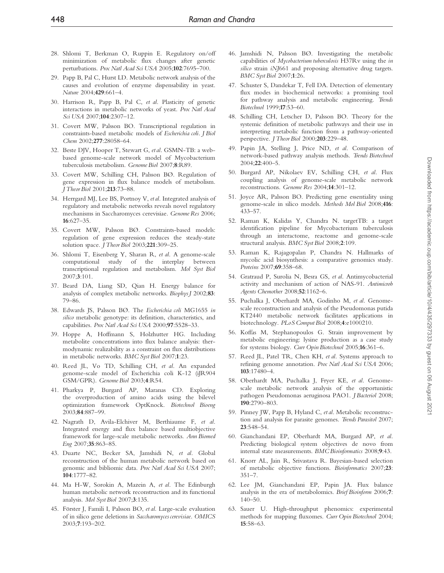- 28. Shlomi T, Berkman O, Ruppin E. Regulatory on/off minimization of metabolic flux changes after genetic perturbations. Proc Natl Acad Sci USA 2005;102:7695–700.
- 29. Papp B, Pal C, Hurst LD. Metabolic network analysis of the causes and evolution of enzyme dispensability in yeast. Nature 2004;429:661–4.
- 30. Harrison R, Papp B, Pal C, et al. Plasticity of genetic interactions in metabolic networks of yeast. Proc Natl Acad Sci USA 2007;104:2307–12.
- 31. Covert MW, Palsson BO. Transcriptional regulation in constraints-based metabolic models of Escherichia coli. J Biol Chem 2002;277:28058–64.
- 32. Beste DJV, Hooper T, Stewart G, et al. GSMN-TB: a webbased genome-scale network model of Mycobacterium tuberculosis metabolism. Genome Biol 2007;8:R89.
- 33. Covert MW, Schilling CH, Palsson BØ. Regulation of gene expression in flux balance models of metabolism. J Theor Biol 2001;213:73–88.
- 34. Herrgard MJ, Lee BS, Portnoy V, etal. Integrated analysis of regulatory and metabolic networks reveals novel regulatory mechanisms in Saccharomyces cerevisiae. Genome Res 2006; 16:627–35.
- 35. Covert MW, Palsson BØ. Constraints-based models: regulation of gene expression reduces the steady-state solution space. J Theor Biol 2003;221:309–25.
- 36. Shlomi T, Eisenberg Y, Sharan R, et al. A genome-scale computational study of the interplay between transcriptional regulation and metabolism. Mol Syst Biol 2007;3:101.
- 37. Beard DA, Liang SD, Qian H. Energy balance for analysis of complex metabolic networks. Biophys J 2002;83: 79–86.
- 38. Edwards JS, Palsson BØ. The Escherichia coli MG1655 in silico metabolic genotype: its definition, characteristics, and capabilities. Proc Natl Acad Sci USA 2000;97:5528–33.
- 39. Hoppe A, Hoffmann S, Holzhutter HG. Including metabolite concentrations into flux balance analysis: thermodynamic realizability as a constraint on flux distributions in metabolic networks. BMC Syst Biol 2007;1:23.
- 40. Reed JL, Vo TD, Schilling CH, et al. An expanded genome-scale model of Escherichia coli K-12 (iJR904 GSM/GPR). Genome Biol 2003;4:R54.
- 41. Pharkya P, Burgard AP, Maranas CD. Exploring the overproduction of amino acids using the bilevel optimization framework OptKnock. Biotechnol Bioeng 2003;84:887–99.
- 42. Nagrath D, Avila-Elchiver M, Berthiaume F, et al. Integrated energy and flux balance based multiobjective framework for large-scale metabolic networks. Ann Biomed Eng 2007;35:863–85.
- 43. Duarte NC, Becker SA, Jamshidi N, et al. Global reconstruction of the human metabolic network based on genomic and bibliomic data. Proc Natl Acad Sci USA 2007; 104:1777–82.
- 44. Ma H-W, Sorokin A, Mazein A, et al. The Edinburgh human metabolic network reconstruction and its functional analysis. Mol Syst Biol 2007;3:135.
- 45. Förster J, Famili I, Palsson BO, et al. Large-scale evaluation of in silico gene deletions in Saccharomyces cerevisiae. OMICS 2003;7:193–202.
- 46. Jamshidi N, Palsson BØ. Investigating the metabolic capabilities of Mycobacterium tuberculosis H37Rv using the in silico strain *iNJ661* and proposing alternative drug targets. BMC Syst Biol 2007;1:26.
- 47. Schuster S, Dandekar T, Fell DA. Detection of elementary flux modes in biochemical networks: a promising tool for pathway analysis and metabolic engineering. Trends Biotechnol 1999;17:53–60.
- 48. Schilling CH, Letscher D, Palsson BO. Theory for the systemic definition of metabolic pathways and their use in interpreting metabolic function from a pathway-oriented perspective. J Theor Biol 2000;203:229–48.
- 49. Papin JA, Stelling J, Price ND, et al. Comparison of network-based pathway analysis methods. Trends Biotechnol 2004;22:400–5.
- 50. Burgard AP, Nikolaev EV, Schilling CH, et al. Flux coupling analysis of genome-scale metabolic network reconstructions. Genome Res 2004;14:301–12.
- 51. Joyce AR, Palsson BO. Predicting gene essentiality using genome-scale in silico models. Methods Mol Biol 2008;416: 433–57.
- 52. Raman K, Kalidas Y, Chandra N. targetTB: a target identification pipeline for Mycobacterium tuberculosis through an interactome, reactome and genome-scale structural analysis. BMC Syst Biol 2008;2:109.
- 53. Raman K, Rajagopalan P, Chandra N. Hallmarks of mycolic acid biosynthesis: a comparative genomics study. Proteins 2007;69:358–68.
- 54. Gratraud P, Surolia N, Besra GS, et al. Antimycobacterial activity and mechanism of action of NAS-91. Antimicrob Agents Chemother 2008;52:1162–6.
- 55. Puchalka J, Oberhardt MA, Godinho M, et al. Genomescale reconstruction and analysis of the Pseudomonas putida KT2440 metabolic network facilitates applications in biotechnology. PLoS Comput Biol 2008;4:e1000210.
- 56. Koffas M, Stephanopoulos G. Strain improvement by metabolic engineering: lysine production as a case study for systems biology. Curr Opin Biotechnol 2005;16:361–6.
- 57. Reed JL, Patel TR, Chen KH, et al. Systems approach to refining genome annotation. Proc Natl Acad Sci USA 2006; 103:17480–4.
- 58. Oberhardt MA, Puchalka J, Fryer KE, et al. Genomescale metabolic network analysis of the opportunistic pathogen Pseudomonas aeruginosa PAO1. J Bacteriol 2008; 190:2790–803.
- 59. Pinney JW, Papp B, Hyland C, et al. Metabolic reconstruction and analysis for parasite genomes. Trends Parasitol 2007; 23:548–54.
- 60. Gianchandani EP, Oberhardt MA, Burgard AP, et al. Predicting biological system objectives de novo from internal state measurements. BMC Bioinformatics 2008;9:43.
- 61. Knorr AL, Jain R, Srivastava R. Bayesian-based selection of metabolic objective functions. Bioinformatics 2007;23: 351–7.
- 62. Lee JM, Gianchandani EP, Papin JA. Flux balance analysis in the era of metabolomics. Brief Bioinform 2006;7: 140–50.
- 63. Sauer U. High-throughput phenomics: experimental methods for mapping fluxomes. Curr Opin Biotechnol 2004; 15:58–63.